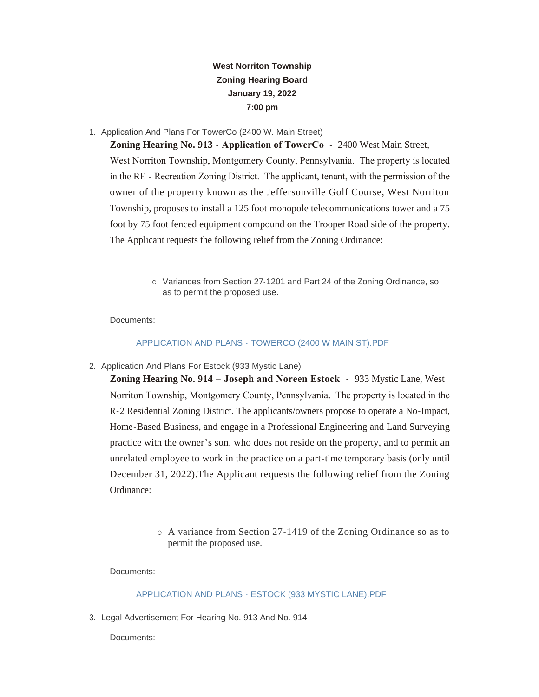## **West Norriton Township Zoning Hearing Board January 19, 2022 7:00 pm**

1. Application And Plans For TowerCo (2400 W. Main Street)

**Zoning Hearing No. 913 - Application of TowerCo -** 2400 West Main Street, West Norriton Township, Montgomery County, Pennsylvania. The property is located in the RE - Recreation Zoning District. The applicant, tenant, with the permission of the owner of the property known as the Jeffersonville Golf Course, West Norriton Township, proposes to install a 125 foot monopole telecommunications tower and a 75 foot by 75 foot fenced equipment compound on the Trooper Road side of the property. The Applicant requests the following relief from the Zoning Ordinance:

> o Variances from Section 27-1201 and Part 24 of the Zoning Ordinance, so as to permit the proposed use.

Documents:

## APPLICATION AND PLANS - [TOWERCO \(2400 W MAIN ST\).PDF](https://www.westnorritontwp.org/AgendaCenter/ViewFile/Item/2162?fileID=1291)

2. Application And Plans For Estock (933 Mystic Lane)

**Zoning Hearing No. 914 – Joseph and Noreen Estock -** 933 Mystic Lane, West Norriton Township, Montgomery County, Pennsylvania. The property is located in the R-2 Residential Zoning District. The applicants/owners propose to operate a No-Impact, Home-Based Business, and engage in a Professional Engineering and Land Surveying practice with the owner's son, who does not reside on the property, and to permit an unrelated employee to work in the practice on a part-time temporary basis (only until December 31, 2022).The Applicant requests the following relief from the Zoning Ordinance:

> ¡ A variance from Section 27-1419 of the Zoning Ordinance so as to permit the proposed use.

Documents:

## [APPLICATION AND PLANS - ESTOCK \(933 MYSTIC LANE\).PDF](https://www.westnorritontwp.org/AgendaCenter/ViewFile/Item/2165?fileID=1290)

3. Legal Advertisement For Hearing No. 913 And No. 914

Documents: